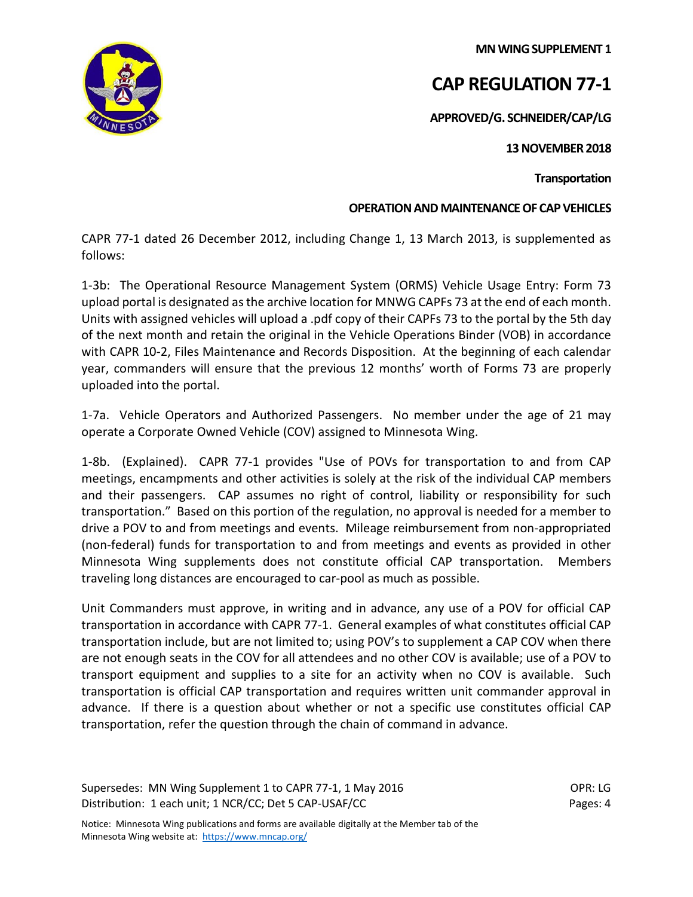**MN WING SUPPLEMENT 1**

## **CAP REGULATION 77-1**

**APPROVED/G. SCHNEIDER/CAP/LG**

**13NOVEMBER 2018**

**Transportation**

## **OPERATION AND MAINTENANCE OF CAP VEHICLES**

CAPR 77-1 dated 26 December 2012, including Change 1, 13 March 2013, is supplemented as follows:

1-3b: The Operational Resource Management System (ORMS) Vehicle Usage Entry: Form 73 upload portal is designated as the archive location for MNWG CAPFs 73 at the end of each month. Units with assigned vehicles will upload a .pdf copy of their CAPFs 73 to the portal by the 5th day of the next month and retain the original in the Vehicle Operations Binder (VOB) in accordance with CAPR 10-2, Files Maintenance and Records Disposition. At the beginning of each calendar year, commanders will ensure that the previous 12 months' worth of Forms 73 are properly uploaded into the portal.

1-7a. Vehicle Operators and Authorized Passengers. No member under the age of 21 may operate a Corporate Owned Vehicle (COV) assigned to Minnesota Wing.

1-8b. (Explained). CAPR 77-1 provides "Use of POVs for transportation to and from CAP meetings, encampments and other activities is solely at the risk of the individual CAP members and their passengers. CAP assumes no right of control, liability or responsibility for such transportation." Based on this portion of the regulation, no approval is needed for a member to drive a POV to and from meetings and events. Mileage reimbursement from non-appropriated (non-federal) funds for transportation to and from meetings and events as provided in other Minnesota Wing supplements does not constitute official CAP transportation. Members traveling long distances are encouraged to car-pool as much as possible.

Unit Commanders must approve, in writing and in advance, any use of a POV for official CAP transportation in accordance with CAPR 77-1. General examples of what constitutes official CAP transportation include, but are not limited to; using POV's to supplement a CAP COV when there are not enough seats in the COV for all attendees and no other COV is available; use of a POV to transport equipment and supplies to a site for an activity when no COV is available. Such transportation is official CAP transportation and requires written unit commander approval in advance. If there is a question about whether or not a specific use constitutes official CAP transportation, refer the question through the chain of command in advance.

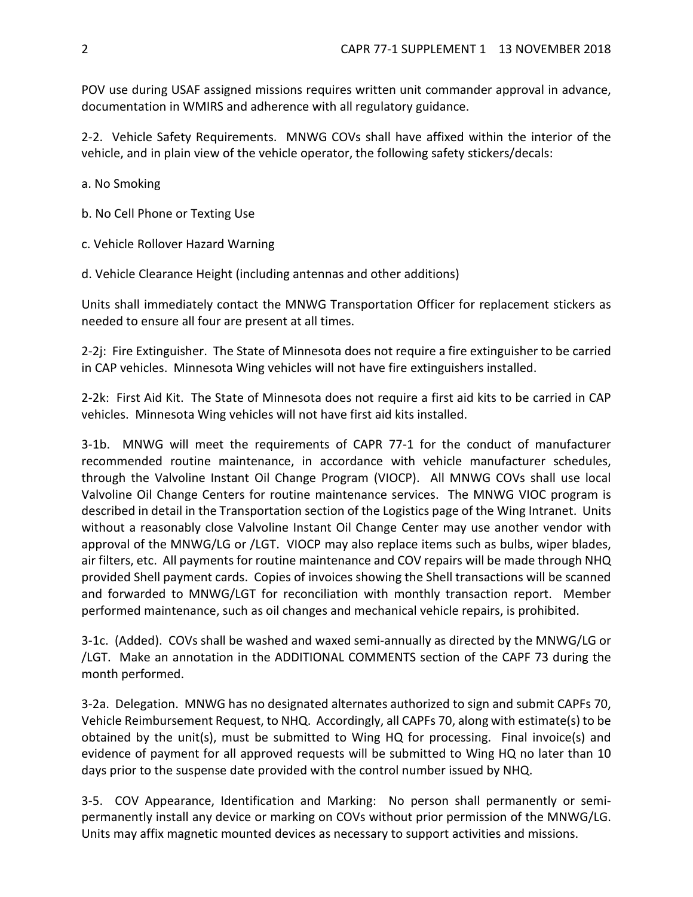POV use during USAF assigned missions requires written unit commander approval in advance, documentation in WMIRS and adherence with all regulatory guidance.

2-2. Vehicle Safety Requirements. MNWG COVs shall have affixed within the interior of the vehicle, and in plain view of the vehicle operator, the following safety stickers/decals:

a. No Smoking

b. No Cell Phone or Texting Use

c. Vehicle Rollover Hazard Warning

d. Vehicle Clearance Height (including antennas and other additions)

Units shall immediately contact the MNWG Transportation Officer for replacement stickers as needed to ensure all four are present at all times.

2-2j: Fire Extinguisher. The State of Minnesota does not require a fire extinguisher to be carried in CAP vehicles. Minnesota Wing vehicles will not have fire extinguishers installed.

2-2k: First Aid Kit. The State of Minnesota does not require a first aid kits to be carried in CAP vehicles. Minnesota Wing vehicles will not have first aid kits installed.

3-1b. MNWG will meet the requirements of CAPR 77-1 for the conduct of manufacturer recommended routine maintenance, in accordance with vehicle manufacturer schedules, through the Valvoline Instant Oil Change Program (VIOCP). All MNWG COVs shall use local Valvoline Oil Change Centers for routine maintenance services. The MNWG VIOC program is described in detail in the Transportation section of the Logistics page of the Wing Intranet. Units without a reasonably close Valvoline Instant Oil Change Center may use another vendor with approval of the MNWG/LG or /LGT. VIOCP may also replace items such as bulbs, wiper blades, air filters, etc. All payments for routine maintenance and COV repairs will be made through NHQ provided Shell payment cards. Copies of invoices showing the Shell transactions will be scanned and forwarded to MNWG/LGT for reconciliation with monthly transaction report. Member performed maintenance, such as oil changes and mechanical vehicle repairs, is prohibited.

3-1c. (Added). COVs shall be washed and waxed semi-annually as directed by the MNWG/LG or /LGT. Make an annotation in the ADDITIONAL COMMENTS section of the CAPF 73 during the month performed.

3-2a. Delegation. MNWG has no designated alternates authorized to sign and submit CAPFs 70, Vehicle Reimbursement Request, to NHQ. Accordingly, all CAPFs 70, along with estimate(s) to be obtained by the unit(s), must be submitted to Wing HQ for processing. Final invoice(s) and evidence of payment for all approved requests will be submitted to Wing HQ no later than 10 days prior to the suspense date provided with the control number issued by NHQ.

3-5. COV Appearance, Identification and Marking: No person shall permanently or semipermanently install any device or marking on COVs without prior permission of the MNWG/LG. Units may affix magnetic mounted devices as necessary to support activities and missions.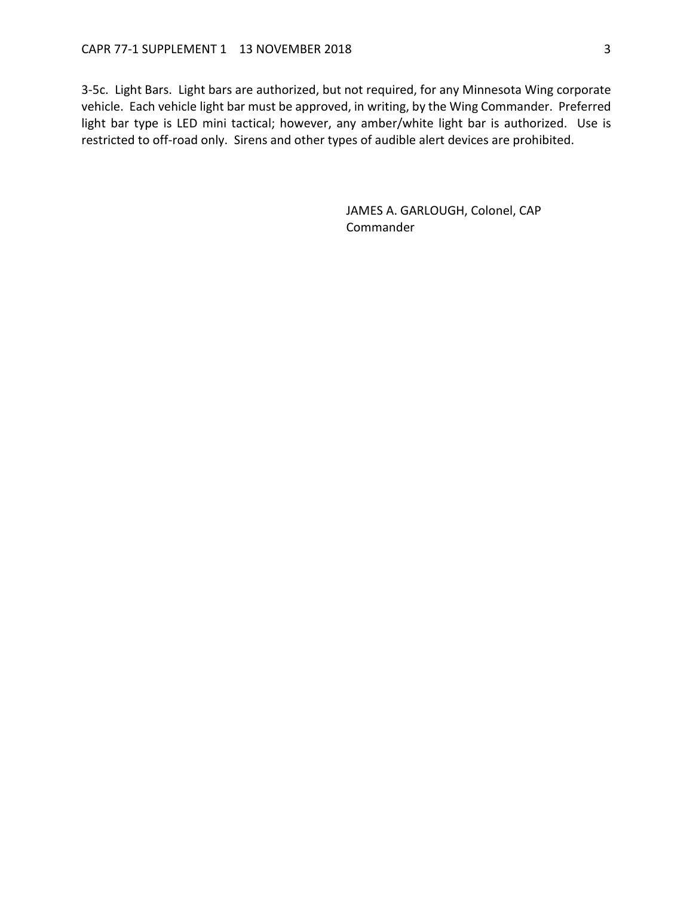3-5c. Light Bars. Light bars are authorized, but not required, for any Minnesota Wing corporate vehicle. Each vehicle light bar must be approved, in writing, by the Wing Commander. Preferred light bar type is LED mini tactical; however, any amber/white light bar is authorized. Use is restricted to off-road only. Sirens and other types of audible alert devices are prohibited.

> JAMES A. GARLOUGH, Colonel, CAP Commander